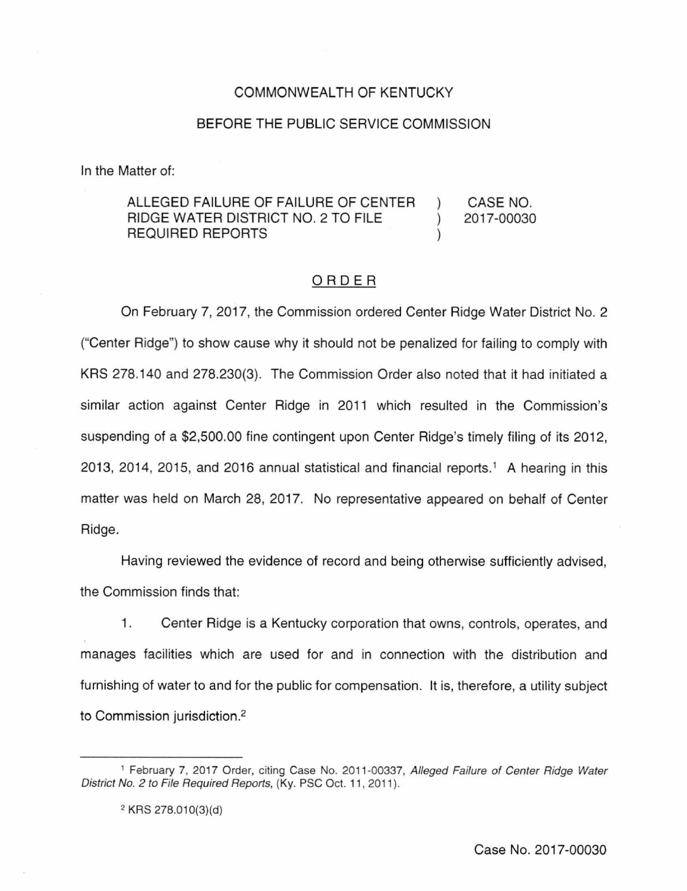## COMMONWEALTH OF KENTUCKY

## BEFORE THE PUBLIC SERVICE COMMISSION

In the Matter of:

#### ALLEGED FAILURE OF FAILURE OF CENTER RIDGE WATER DISTRICT NO.2 TO FILE REQUIRED REPORTS CASE NO. 2017-00030

# ORDER

On February 7, 2017, the Commission ordered Center Ridge Water District No. 2 ("Center Ridge") to show cause why it should not be penalized for failing to comply with KRS 278.140 and 278.230(3). The Commission Order also noted that it had initiated a similar action against Center Ridge in 2011 which resulted in the Commission's suspending of a \$2,500.00 fine contingent upon Center Ridge's timely filing of its 2012, 2013, 2014, 2015, and 2016 annual statistical and financial reports. <sup>1</sup>A hearing in this matter was held on March 28, 2017. No representative appeared on behalf of Center Ridge.

Having reviewed the evidence of record and being otherwise sufficiently advised, the Commission finds that:

1. Center Ridge is a Kentucky corporation that owns, controls, operates, and manages facilities which are used for and in connection with the distribution and furnishing of water to and for the public for compensation. It is, therefore, a utility subject to Commission jurisdiction.<sup>2</sup>

<sup>&</sup>lt;sup>1</sup> February 7, 2017 Order, citing Case No. 2011-00337, Alleged Failure of Center Ridge Water District No. 2 to File Required Reports, (Ky. PSC Oct. 11, 2011).

<sup>&</sup>lt;sup>2</sup> KRS 278.010(3)(d)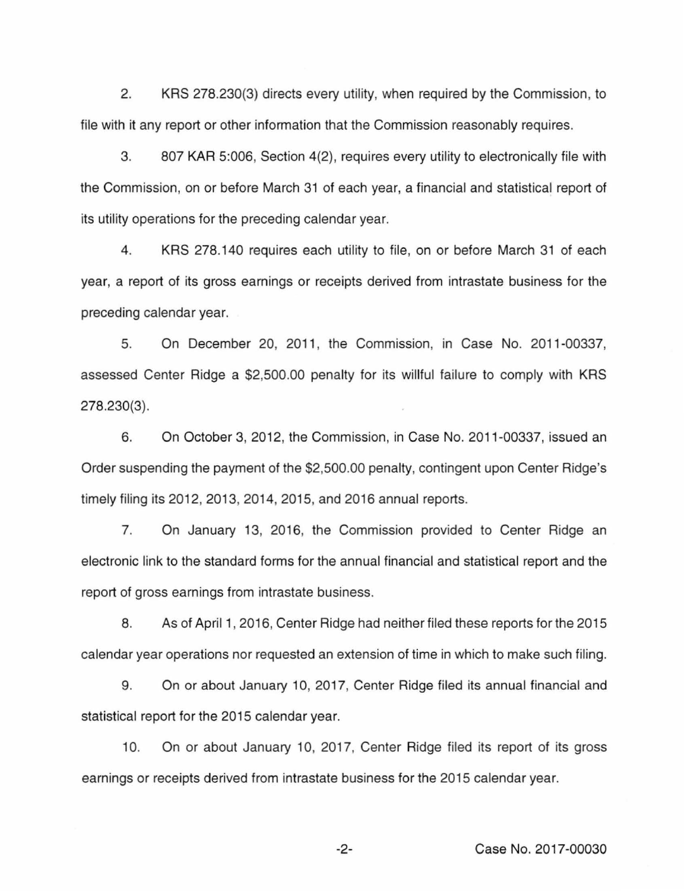2. KRS 278.230(3) directs every utility, when required by the Commission, to file with it any report or other information that the Commission reasonably requires.

3. 807 KAR 5:006, Section 4(2), requires every utility to electronically file with the Commission, on or before March 31 of each year, a financial and statistical report of its utility operations for the preceding calendar year.

4. KRS 278.140 requires each utility to file, on or before March 31 of each year, a report of its gross earnings or receipts derived from intrastate business for the preceding calendar year.

5. On December 20, 2011 , the Commission, in Case No. 2011-00337, assessed Center Ridge a \$2,500.00 penalty for its willful failure to comply with KRS 278.230(3).

6. On October 3, 2012, the Commission, in Case No. 2011-00337, issued an Order suspending the payment of the \$2,500.00 penalty, contingent upon Center Ridge's timely filing its 2012, 2013, 2014, 2015, and 2016 annual reports.

7. On January 13, 2016, the Commission provided to Center Ridge an electronic link to the standard forms for the annual financial and statistical report and the report of gross earnings from intrastate business.

8. As of April 1, 2016, Center Ridge had neither filed these reports for the 2015 calendar year operations nor requested an extension of time in which to make such filing.

9. On or about January 10, 2017, Center Ridge filed its annual financial and statistical report for the 2015 calendar year.

10. On or about January 10, 2017, Center Ridge filed its report of its gross earnings or receipts derived from intrastate business for the 2015 calendar year.

-2- Case No. 2017-00030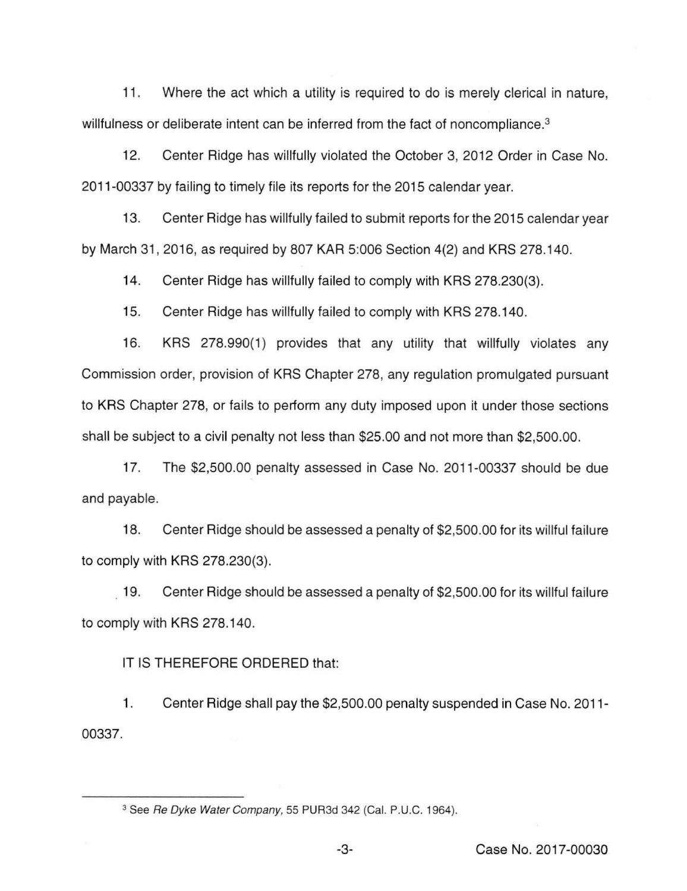11. Where the act which a utility is required to do is merely clerical in nature, willfulness or deliberate intent can be inferred from the fact of noncompliance.<sup>3</sup>

12. Center Ridge has willfully violated the October 3, 2012 Order in Case No. 2011-00337 by failing to timely file its reports for the 2015 calendar year.

13. Center Ridge has willfully failed to submit reports for the 2015 calendar year by March 31, 2016, as required by 807 KAR 5:006 Section 4(2) and KRS 278.140.

14. Center Ridge has willfully failed to comply with KRS 278.230(3).

15. Center Ridge has willfully failed to comply with KRS 278.140.

16. KRS 278.990(1) provides that any utility that willfully violates any Commission order, provision of KRS Chapter 278, any regulation promulgated pursuant to KRS Chapter 278, or fails to perform any duty imposed upon it under those sections shall be subject to a civil penalty not less than \$25.00 and not more than \$2,500.00.

17. The \$2,500.00 penalty assessed in Case No. 2011-00337 should be due and payable.

18. Center Ridge should be assessed a penalty of \$2,500.00 for its willful failure to comply with KRS 278.230(3).

19. Center Ridge should be assessed a penalty of \$2,500.00 for its willful failure to comply with KRS 278.140.

IT IS THEREFORE ORDERED that:

1. 00337. Center Ridge shall pay the \$2,500.00 penalty suspended in Case No. 2011-

<sup>&</sup>lt;sup>3</sup> See Re Dyke Water Company, 55 PUR3d 342 (Cal. P.U.C. 1964).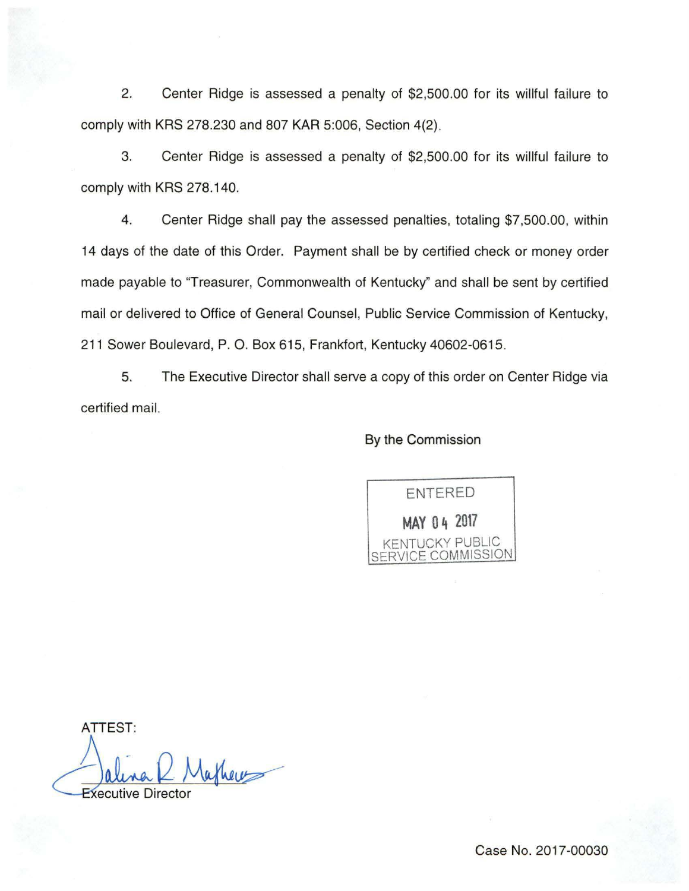2. Center Ridge is assessed a penalty of \$2,500.00 for its willful failure to comply with KRS 278.230 and 807 KAR 5:006, Section 4(2).

3. Center Ridge is assessed a penalty of \$2,500.00 for its willful failure to comply with KRS 278.140.

4. Center Ridge shall pay the assessed penalties, totaling \$7,500.00, within 14 days of the date of this Order. Payment shall be by certified check or money order made payable to "Treasurer, Commonwealth of Kentucky" and shall be sent by certified mail or delivered to Office of General Counsel, Public Service Commission of Kentucky, 211 Sower Boulevard, P. 0. Box 615, Frankfort, Kentucky 40602-0615.

5. The Executive Director shall serve a copy of this order on Center Ridge via certified mail.

## By the Commission



ATTEST: athere **Executive Directo**